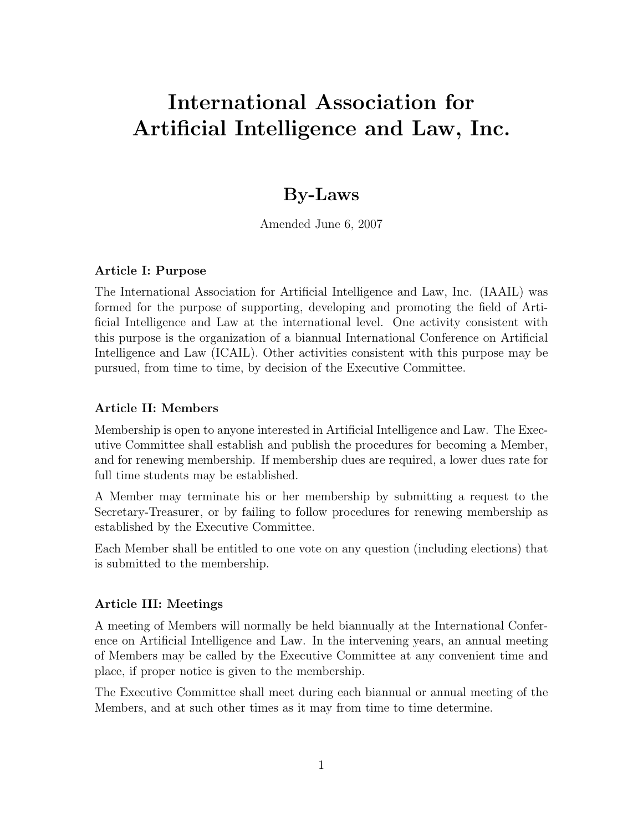# International Association for Artificial Intelligence and Law, Inc.

## By-Laws

Amended June 6, 2007

#### Article I: Purpose

The International Association for Artificial Intelligence and Law, Inc. (IAAIL) was formed for the purpose of supporting, developing and promoting the field of Artificial Intelligence and Law at the international level. One activity consistent with this purpose is the organization of a biannual International Conference on Artificial Intelligence and Law (ICAIL). Other activities consistent with this purpose may be pursued, from time to time, by decision of the Executive Committee.

#### Article II: Members

Membership is open to anyone interested in Artificial Intelligence and Law. The Executive Committee shall establish and publish the procedures for becoming a Member, and for renewing membership. If membership dues are required, a lower dues rate for full time students may be established.

A Member may terminate his or her membership by submitting a request to the Secretary-Treasurer, or by failing to follow procedures for renewing membership as established by the Executive Committee.

Each Member shall be entitled to one vote on any question (including elections) that is submitted to the membership.

#### Article III: Meetings

A meeting of Members will normally be held biannually at the International Conference on Artificial Intelligence and Law. In the intervening years, an annual meeting of Members may be called by the Executive Committee at any convenient time and place, if proper notice is given to the membership.

The Executive Committee shall meet during each biannual or annual meeting of the Members, and at such other times as it may from time to time determine.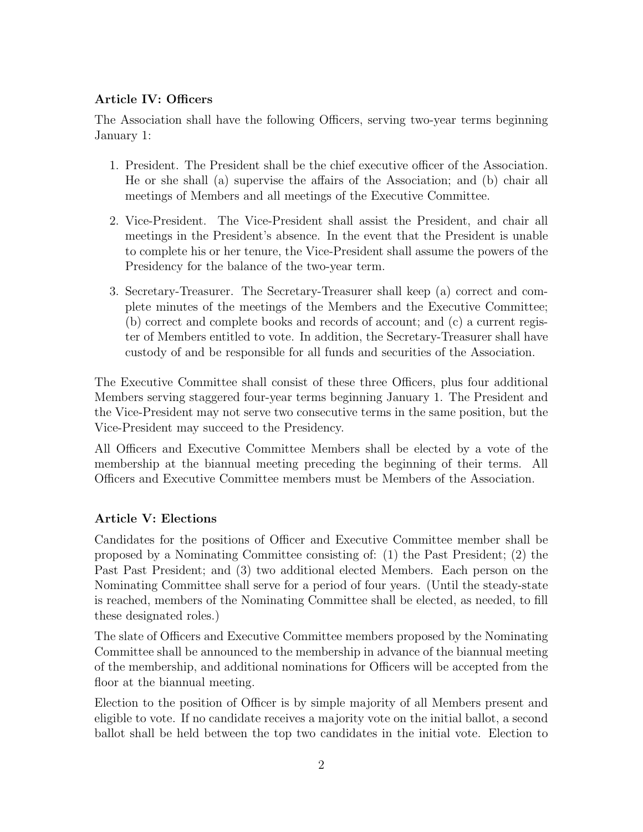### Article IV: Officers

The Association shall have the following Officers, serving two-year terms beginning January 1:

- 1. President. The President shall be the chief executive officer of the Association. He or she shall (a) supervise the affairs of the Association; and (b) chair all meetings of Members and all meetings of the Executive Committee.
- 2. Vice-President. The Vice-President shall assist the President, and chair all meetings in the President's absence. In the event that the President is unable to complete his or her tenure, the Vice-President shall assume the powers of the Presidency for the balance of the two-year term.
- 3. Secretary-Treasurer. The Secretary-Treasurer shall keep (a) correct and complete minutes of the meetings of the Members and the Executive Committee; (b) correct and complete books and records of account; and (c) a current register of Members entitled to vote. In addition, the Secretary-Treasurer shall have custody of and be responsible for all funds and securities of the Association.

The Executive Committee shall consist of these three Officers, plus four additional Members serving staggered four-year terms beginning January 1. The President and the Vice-President may not serve two consecutive terms in the same position, but the Vice-President may succeed to the Presidency.

All Officers and Executive Committee Members shall be elected by a vote of the membership at the biannual meeting preceding the beginning of their terms. All Officers and Executive Committee members must be Members of the Association.

#### Article V: Elections

Candidates for the positions of Officer and Executive Committee member shall be proposed by a Nominating Committee consisting of: (1) the Past President; (2) the Past Past President; and (3) two additional elected Members. Each person on the Nominating Committee shall serve for a period of four years. (Until the steady-state is reached, members of the Nominating Committee shall be elected, as needed, to fill these designated roles.)

The slate of Officers and Executive Committee members proposed by the Nominating Committee shall be announced to the membership in advance of the biannual meeting of the membership, and additional nominations for Officers will be accepted from the floor at the biannual meeting.

Election to the position of Officer is by simple majority of all Members present and eligible to vote. If no candidate receives a majority vote on the initial ballot, a second ballot shall be held between the top two candidates in the initial vote. Election to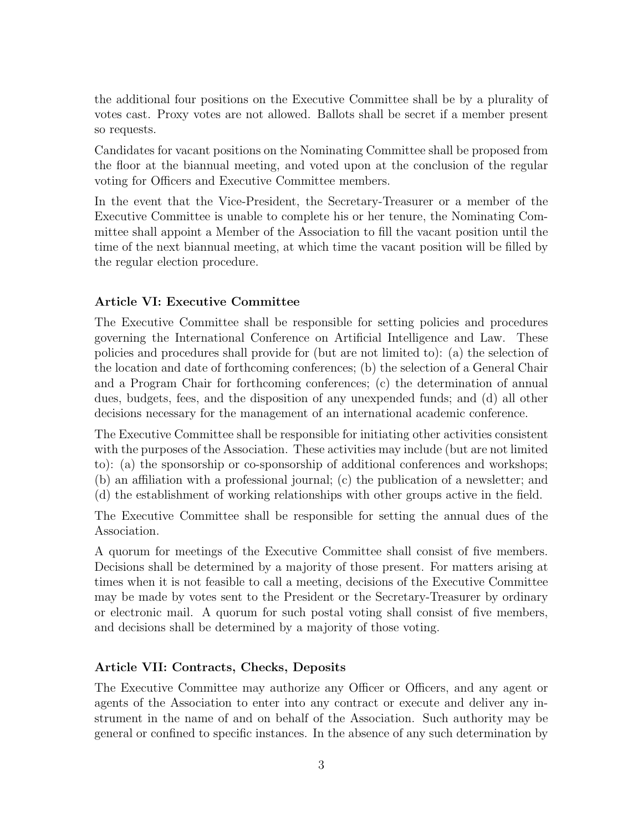the additional four positions on the Executive Committee shall be by a plurality of votes cast. Proxy votes are not allowed. Ballots shall be secret if a member present so requests.

Candidates for vacant positions on the Nominating Committee shall be proposed from the floor at the biannual meeting, and voted upon at the conclusion of the regular voting for Officers and Executive Committee members.

In the event that the Vice-President, the Secretary-Treasurer or a member of the Executive Committee is unable to complete his or her tenure, the Nominating Committee shall appoint a Member of the Association to fill the vacant position until the time of the next biannual meeting, at which time the vacant position will be filled by the regular election procedure.

#### Article VI: Executive Committee

The Executive Committee shall be responsible for setting policies and procedures governing the International Conference on Artificial Intelligence and Law. These policies and procedures shall provide for (but are not limited to): (a) the selection of the location and date of forthcoming conferences; (b) the selection of a General Chair and a Program Chair for forthcoming conferences; (c) the determination of annual dues, budgets, fees, and the disposition of any unexpended funds; and (d) all other decisions necessary for the management of an international academic conference.

The Executive Committee shall be responsible for initiating other activities consistent with the purposes of the Association. These activities may include (but are not limited to): (a) the sponsorship or co-sponsorship of additional conferences and workshops; (b) an affiliation with a professional journal; (c) the publication of a newsletter; and (d) the establishment of working relationships with other groups active in the field.

The Executive Committee shall be responsible for setting the annual dues of the Association.

A quorum for meetings of the Executive Committee shall consist of five members. Decisions shall be determined by a majority of those present. For matters arising at times when it is not feasible to call a meeting, decisions of the Executive Committee may be made by votes sent to the President or the Secretary-Treasurer by ordinary or electronic mail. A quorum for such postal voting shall consist of five members, and decisions shall be determined by a majority of those voting.

#### Article VII: Contracts, Checks, Deposits

The Executive Committee may authorize any Officer or Officers, and any agent or agents of the Association to enter into any contract or execute and deliver any instrument in the name of and on behalf of the Association. Such authority may be general or confined to specific instances. In the absence of any such determination by